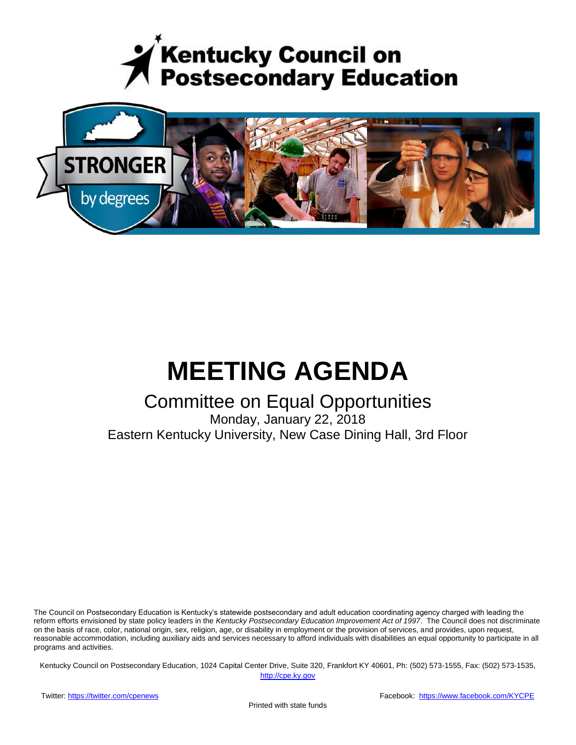



# **MEETING AGENDA**

# Committee on Equal Opportunities

Monday, January 22, 2018 Eastern Kentucky University, New Case Dining Hall, 3rd Floor

The Council on Postsecondary Education is Kentucky's statewide postsecondary and adult education coordinating agency charged with leading the reform efforts envisioned by state policy leaders in the *Kentucky Postsecondary Education Improvement Act of 1997*. The Council does not discriminate on the basis of race, color, national origin, sex, religion, age, or disability in employment or the provision of services, and provides, upon request, reasonable accommodation, including auxiliary aids and services necessary to afford individuals with disabilities an equal opportunity to participate in all programs and activities.

Kentucky Council on Postsecondary Education, 1024 Capital Center Drive, Suite 320, Frankfort KY 40601, Ph: (502) 573-1555, Fax: (502) 573-1535,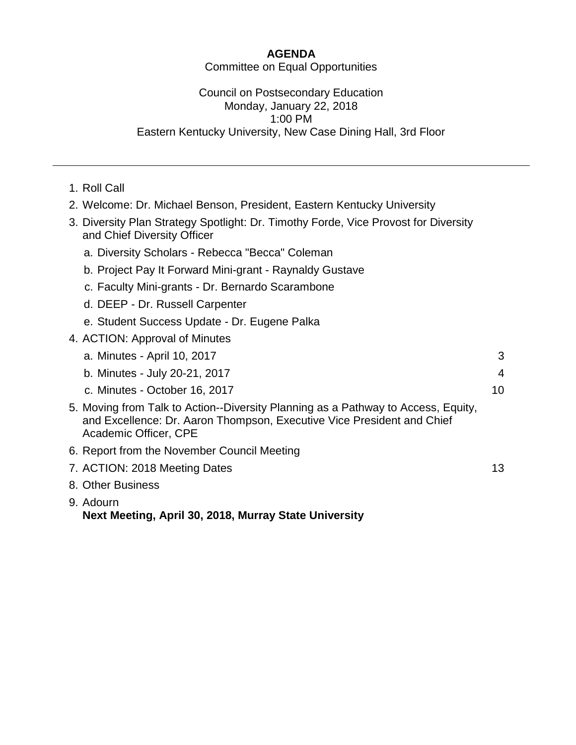# **AGENDA**

Committee on Equal Opportunities

# Council on Postsecondary Education Monday, January 22, 2018 1:00 PM Eastern Kentucky University, New Case Dining Hall, 3rd Floor

- 1. Roll Call
- 2. Welcome: Dr. Michael Benson, President, Eastern Kentucky University
- 3. Diversity Plan Strategy Spotlight: Dr. Timothy Forde, Vice Provost for Diversity and Chief Diversity Officer
	- a. Diversity Scholars Rebecca "Becca" Coleman
	- b. Project Pay It Forward Mini-grant Raynaldy Gustave
	- c. Faculty Mini-grants Dr. Bernardo Scarambone
	- d. DEEP Dr. Russell Carpenter
	- e. Student Success Update Dr. Eugene Palka
- 4. ACTION: Approval of Minutes

| a. Minutes - April 10, 2017                                                                                                                                                          | 3              |
|--------------------------------------------------------------------------------------------------------------------------------------------------------------------------------------|----------------|
| b. Minutes - July 20-21, 2017                                                                                                                                                        | $\overline{4}$ |
| c. Minutes - October 16, 2017                                                                                                                                                        | 10             |
| 5. Moving from Talk to Action--Diversity Planning as a Pathway to Access, Equity,<br>and Excellence: Dr. Aaron Thompson, Executive Vice President and Chief<br>Academic Officer, CPE |                |
| 6. Report from the November Council Meeting                                                                                                                                          |                |
| 7. ACTION: 2018 Meeting Dates                                                                                                                                                        | 13             |
| 8. Other Business                                                                                                                                                                    |                |
|                                                                                                                                                                                      |                |

9. Adourn **Next Meeting, April 30, 2018, Murray State University**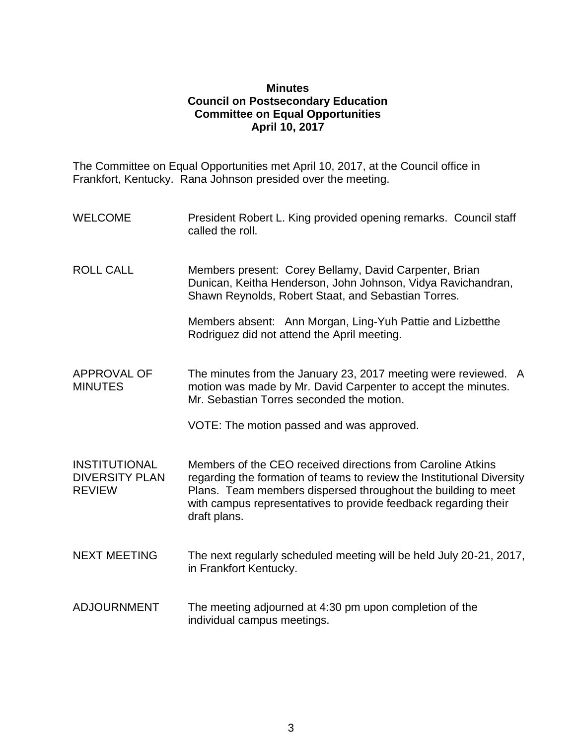## **Minutes Council on Postsecondary Education Committee on Equal Opportunities April 10, 2017**

The Committee on Equal Opportunities met April 10, 2017, at the Council office in Frankfort, Kentucky. Rana Johnson presided over the meeting.

- WELCOME President Robert L. King provided opening remarks. Council staff called the roll.
- ROLL CALL Members present: Corey Bellamy, David Carpenter, Brian Dunican, Keitha Henderson, John Johnson, Vidya Ravichandran, Shawn Reynolds, Robert Staat, and Sebastian Torres.

Members absent: Ann Morgan, Ling-Yuh Pattie and Lizbetthe Rodriguez did not attend the April meeting.

APPROVAL OF MINUTES The minutes from the January 23, 2017 meeting were reviewed. A motion was made by Mr. David Carpenter to accept the minutes. Mr. Sebastian Torres seconded the motion.

VOTE: The motion passed and was approved.

INSTITUTIONAL DIVERSITY PLAN REVIEW Members of the CEO received directions from Caroline Atkins regarding the formation of teams to review the Institutional Diversity Plans. Team members dispersed throughout the building to meet with campus representatives to provide feedback regarding their draft plans.

- NEXT MEETING The next regularly scheduled meeting will be held July 20-21, 2017, in Frankfort Kentucky.
- ADJOURNMENT The meeting adjourned at 4:30 pm upon completion of the individual campus meetings.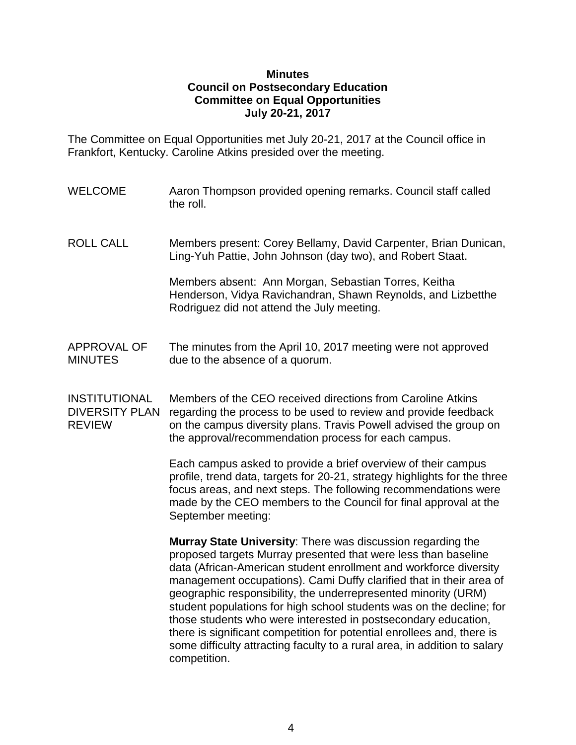## **Minutes Council on Postsecondary Education Committee on Equal Opportunities July 20-21, 2017**

The Committee on Equal Opportunities met July 20-21, 2017 at the Council office in Frankfort, Kentucky. Caroline Atkins presided over the meeting.

- WELCOME Aaron Thompson provided opening remarks. Council staff called the roll.
- ROLL CALL Members present: Corey Bellamy, David Carpenter, Brian Dunican, Ling-Yuh Pattie, John Johnson (day two), and Robert Staat.

Members absent: Ann Morgan, Sebastian Torres, Keitha Henderson, Vidya Ravichandran, Shawn Reynolds, and Lizbetthe Rodriguez did not attend the July meeting.

# APPROVAL OF The minutes from the April 10, 2017 meeting were not approved MINUTES due to the absence of a quorum.

INSTITUTIONAL Members of the CEO received directions from Caroline Atkins DIVERSITY PLAN regarding the process to be used to review and provide feedback REVIEW on the campus diversity plans. Travis Powell advised the group on the approval/recommendation process for each campus.

> Each campus asked to provide a brief overview of their campus profile, trend data, targets for 20-21, strategy highlights for the three focus areas, and next steps. The following recommendations were made by the CEO members to the Council for final approval at the September meeting:

> **Murray State University**: There was discussion regarding the proposed targets Murray presented that were less than baseline data (African-American student enrollment and workforce diversity management occupations). Cami Duffy clarified that in their area of geographic responsibility, the underrepresented minority (URM) student populations for high school students was on the decline; for those students who were interested in postsecondary education, there is significant competition for potential enrollees and, there is some difficulty attracting faculty to a rural area, in addition to salary competition.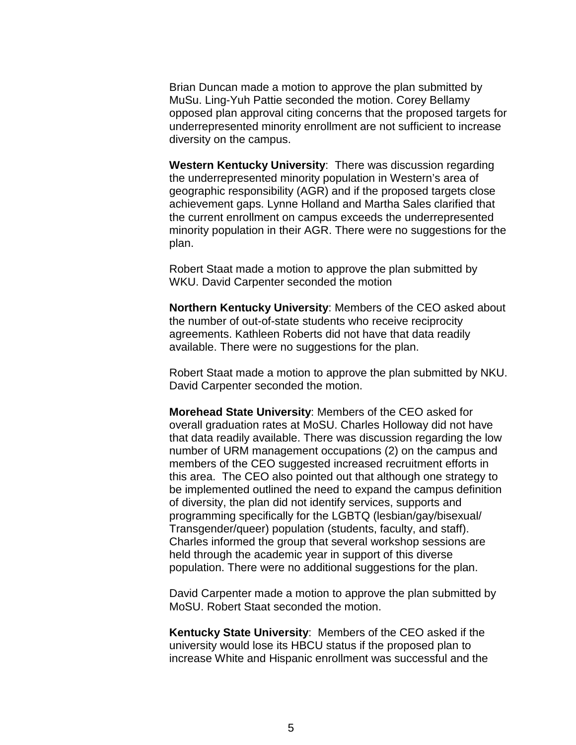Brian Duncan made a motion to approve the plan submitted by MuSu. Ling-Yuh Pattie seconded the motion. Corey Bellamy opposed plan approval citing concerns that the proposed targets for underrepresented minority enrollment are not sufficient to increase diversity on the campus.

**Western Kentucky University**: There was discussion regarding the underrepresented minority population in Western's area of geographic responsibility (AGR) and if the proposed targets close achievement gaps. Lynne Holland and Martha Sales clarified that the current enrollment on campus exceeds the underrepresented minority population in their AGR. There were no suggestions for the plan.

Robert Staat made a motion to approve the plan submitted by WKU. David Carpenter seconded the motion

**Northern Kentucky University**: Members of the CEO asked about the number of out-of-state students who receive reciprocity agreements. Kathleen Roberts did not have that data readily available. There were no suggestions for the plan.

Robert Staat made a motion to approve the plan submitted by NKU. David Carpenter seconded the motion.

**Morehead State University**: Members of the CEO asked for overall graduation rates at MoSU. Charles Holloway did not have that data readily available. There was discussion regarding the low number of URM management occupations (2) on the campus and members of the CEO suggested increased recruitment efforts in this area. The CEO also pointed out that although one strategy to be implemented outlined the need to expand the campus definition of diversity, the plan did not identify services, supports and programming specifically for the LGBTQ (lesbian/gay/bisexual/ Transgender/queer) population (students, faculty, and staff). Charles informed the group that several workshop sessions are held through the academic year in support of this diverse population. There were no additional suggestions for the plan.

David Carpenter made a motion to approve the plan submitted by MoSU. Robert Staat seconded the motion.

**Kentucky State University**: Members of the CEO asked if the university would lose its HBCU status if the proposed plan to increase White and Hispanic enrollment was successful and the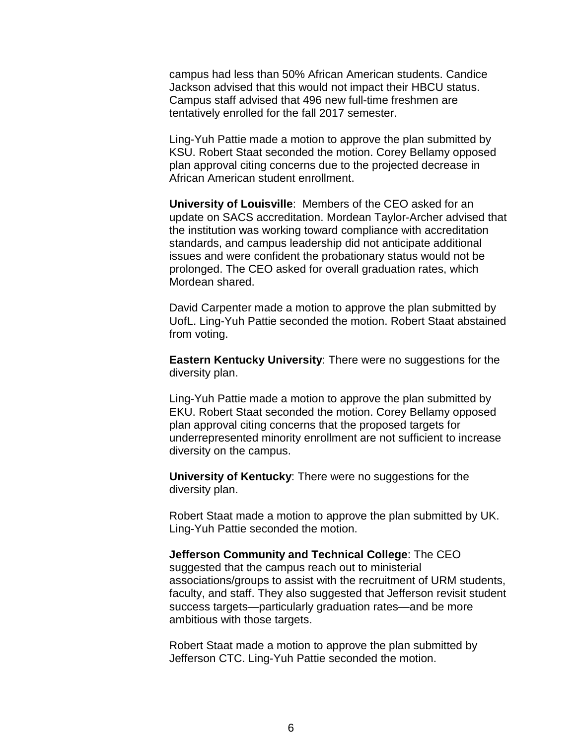campus had less than 50% African American students. Candice Jackson advised that this would not impact their HBCU status. Campus staff advised that 496 new full-time freshmen are tentatively enrolled for the fall 2017 semester.

Ling-Yuh Pattie made a motion to approve the plan submitted by KSU. Robert Staat seconded the motion. Corey Bellamy opposed plan approval citing concerns due to the projected decrease in African American student enrollment.

**University of Louisville**: Members of the CEO asked for an update on SACS accreditation. Mordean Taylor-Archer advised that the institution was working toward compliance with accreditation standards, and campus leadership did not anticipate additional issues and were confident the probationary status would not be prolonged. The CEO asked for overall graduation rates, which Mordean shared.

David Carpenter made a motion to approve the plan submitted by UofL. Ling-Yuh Pattie seconded the motion. Robert Staat abstained from voting.

**Eastern Kentucky University**: There were no suggestions for the diversity plan.

Ling-Yuh Pattie made a motion to approve the plan submitted by EKU. Robert Staat seconded the motion. Corey Bellamy opposed plan approval citing concerns that the proposed targets for underrepresented minority enrollment are not sufficient to increase diversity on the campus.

**University of Kentucky**: There were no suggestions for the diversity plan.

Robert Staat made a motion to approve the plan submitted by UK. Ling-Yuh Pattie seconded the motion.

#### **Jefferson Community and Technical College**: The CEO

suggested that the campus reach out to ministerial associations/groups to assist with the recruitment of URM students, faculty, and staff. They also suggested that Jefferson revisit student success targets—particularly graduation rates—and be more ambitious with those targets.

Robert Staat made a motion to approve the plan submitted by Jefferson CTC. Ling-Yuh Pattie seconded the motion.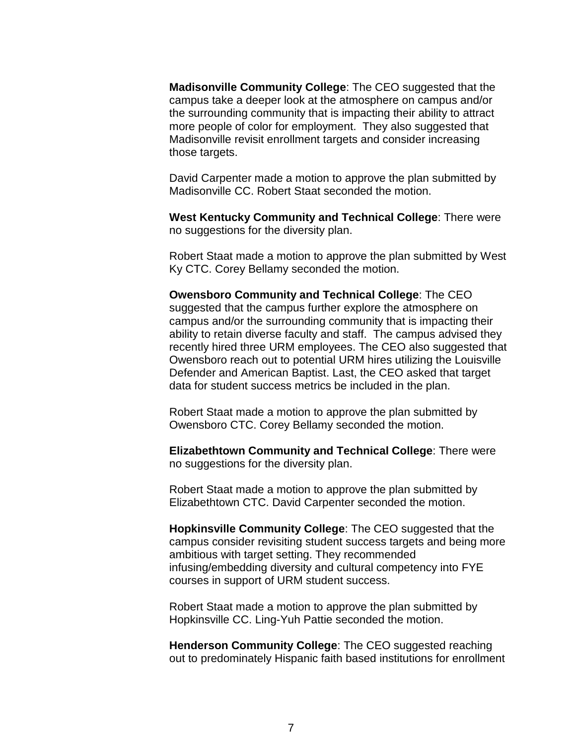**Madisonville Community College**: The CEO suggested that the campus take a deeper look at the atmosphere on campus and/or the surrounding community that is impacting their ability to attract more people of color for employment. They also suggested that Madisonville revisit enrollment targets and consider increasing those targets.

David Carpenter made a motion to approve the plan submitted by Madisonville CC. Robert Staat seconded the motion.

**West Kentucky Community and Technical College**: There were no suggestions for the diversity plan.

Robert Staat made a motion to approve the plan submitted by West Ky CTC. Corey Bellamy seconded the motion.

**Owensboro Community and Technical College**: The CEO suggested that the campus further explore the atmosphere on campus and/or the surrounding community that is impacting their ability to retain diverse faculty and staff. The campus advised they recently hired three URM employees. The CEO also suggested that Owensboro reach out to potential URM hires utilizing the Louisville Defender and American Baptist. Last, the CEO asked that target data for student success metrics be included in the plan.

Robert Staat made a motion to approve the plan submitted by Owensboro CTC. Corey Bellamy seconded the motion.

**Elizabethtown Community and Technical College**: There were no suggestions for the diversity plan.

Robert Staat made a motion to approve the plan submitted by Elizabethtown CTC. David Carpenter seconded the motion.

**Hopkinsville Community College**: The CEO suggested that the campus consider revisiting student success targets and being more ambitious with target setting. They recommended infusing/embedding diversity and cultural competency into FYE courses in support of URM student success.

Robert Staat made a motion to approve the plan submitted by Hopkinsville CC. Ling-Yuh Pattie seconded the motion.

**Henderson Community College**: The CEO suggested reaching out to predominately Hispanic faith based institutions for enrollment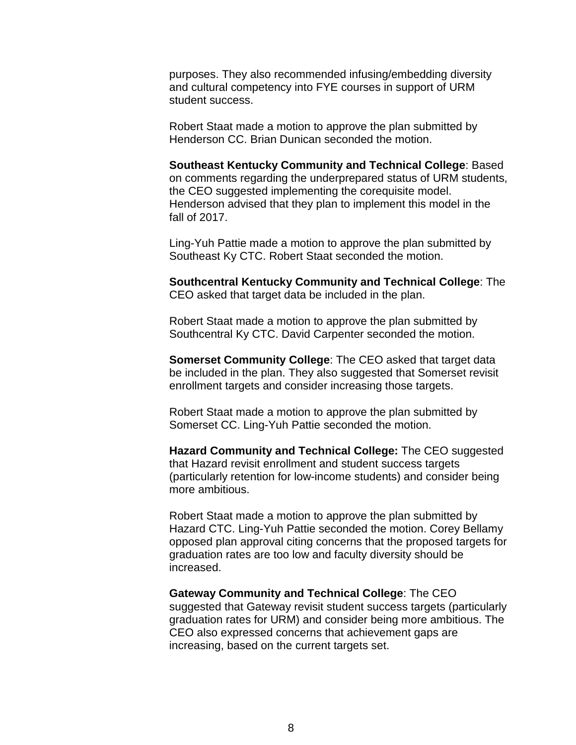purposes. They also recommended infusing/embedding diversity and cultural competency into FYE courses in support of URM student success.

Robert Staat made a motion to approve the plan submitted by Henderson CC. Brian Dunican seconded the motion.

**Southeast Kentucky Community and Technical College**: Based on comments regarding the underprepared status of URM students, the CEO suggested implementing the corequisite model. Henderson advised that they plan to implement this model in the fall of 2017.

Ling-Yuh Pattie made a motion to approve the plan submitted by Southeast Ky CTC. Robert Staat seconded the motion.

**Southcentral Kentucky Community and Technical College**: The CEO asked that target data be included in the plan.

Robert Staat made a motion to approve the plan submitted by Southcentral Ky CTC. David Carpenter seconded the motion.

**Somerset Community College**: The CEO asked that target data be included in the plan. They also suggested that Somerset revisit enrollment targets and consider increasing those targets.

Robert Staat made a motion to approve the plan submitted by Somerset CC. Ling-Yuh Pattie seconded the motion.

**Hazard Community and Technical College:** The CEO suggested that Hazard revisit enrollment and student success targets (particularly retention for low-income students) and consider being more ambitious.

Robert Staat made a motion to approve the plan submitted by Hazard CTC. Ling-Yuh Pattie seconded the motion. Corey Bellamy opposed plan approval citing concerns that the proposed targets for graduation rates are too low and faculty diversity should be increased.

**Gateway Community and Technical College**: The CEO suggested that Gateway revisit student success targets (particularly graduation rates for URM) and consider being more ambitious. The CEO also expressed concerns that achievement gaps are increasing, based on the current targets set.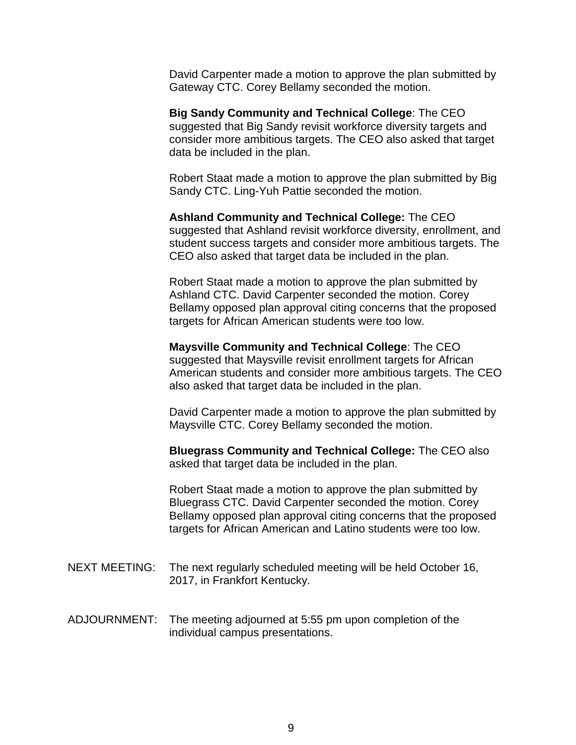David Carpenter made a motion to approve the plan submitted by Gateway CTC. Corey Bellamy seconded the motion.

**Big Sandy Community and Technical College**: The CEO suggested that Big Sandy revisit workforce diversity targets and consider more ambitious targets. The CEO also asked that target data be included in the plan.

Robert Staat made a motion to approve the plan submitted by Big Sandy CTC. Ling-Yuh Pattie seconded the motion.

**Ashland Community and Technical College:** The CEO suggested that Ashland revisit workforce diversity, enrollment, and student success targets and consider more ambitious targets. The CEO also asked that target data be included in the plan.

Robert Staat made a motion to approve the plan submitted by Ashland CTC. David Carpenter seconded the motion. Corey Bellamy opposed plan approval citing concerns that the proposed targets for African American students were too low.

**Maysville Community and Technical College**: The CEO suggested that Maysville revisit enrollment targets for African American students and consider more ambitious targets. The CEO also asked that target data be included in the plan.

David Carpenter made a motion to approve the plan submitted by Maysville CTC. Corey Bellamy seconded the motion.

**Bluegrass Community and Technical College:** The CEO also asked that target data be included in the plan.

Robert Staat made a motion to approve the plan submitted by Bluegrass CTC. David Carpenter seconded the motion. Corey Bellamy opposed plan approval citing concerns that the proposed targets for African American and Latino students were too low.

- NEXT MEETING: The next regularly scheduled meeting will be held October 16, 2017, in Frankfort Kentucky.
- ADJOURNMENT: The meeting adjourned at 5:55 pm upon completion of the individual campus presentations.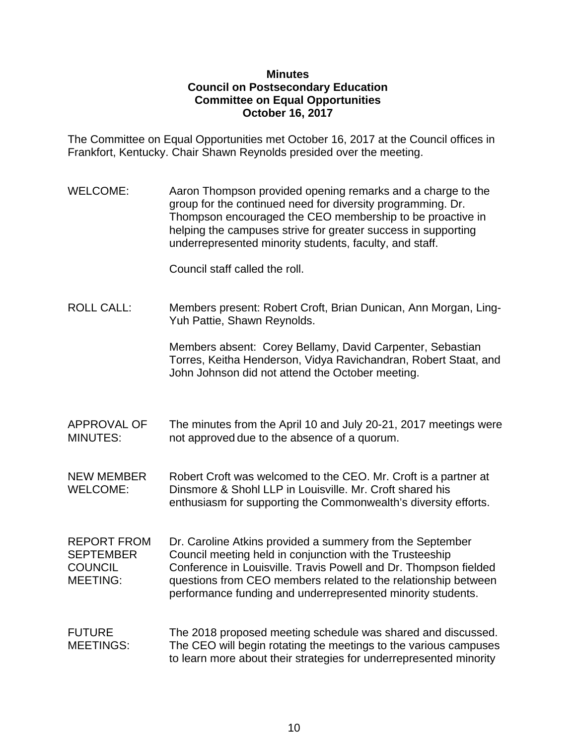### **Minutes Council on Postsecondary Education Committee on Equal Opportunities October 16, 2017**

The Committee on Equal Opportunities met October 16, 2017 at the Council offices in Frankfort, Kentucky. Chair Shawn Reynolds presided over the meeting.

WELCOME: Aaron Thompson provided opening remarks and a charge to the group for the continued need for diversity programming. Dr. Thompson encouraged the CEO membership to be proactive in helping the campuses strive for greater success in supporting underrepresented minority students, faculty, and staff.

Council staff called the roll.

ROLL CALL: Members present: Robert Croft, Brian Dunican, Ann Morgan, Ling-Yuh Pattie, Shawn Reynolds.

> Members absent: Corey Bellamy, David Carpenter, Sebastian Torres, Keitha Henderson, Vidya Ravichandran, Robert Staat, and John Johnson did not attend the October meeting.

APPROVAL OF The minutes from the April 10 and July 20-21, 2017 meetings were MINUTES: not approved due to the absence of a quorum.

NEW MEMBER Robert Croft was welcomed to the CEO. Mr. Croft is a partner at WELCOME: Dinsmore & Shohl LLP in Louisville. Mr. Croft shared his enthusiasm for supporting the Commonwealth's diversity efforts.

- REPORT FROM Dr. Caroline Atkins provided a summery from the September SEPTEMBER Council meeting held in conjunction with the Trusteeship COUNCIL Conference in Louisville. Travis Powell and Dr. Thompson fielded MEETING: questions from CEO members related to the relationship between performance funding and underrepresented minority students.
- FUTURE The 2018 proposed meeting schedule was shared and discussed. MEETINGS: The CEO will begin rotating the meetings to the various campuses to learn more about their strategies for underrepresented minority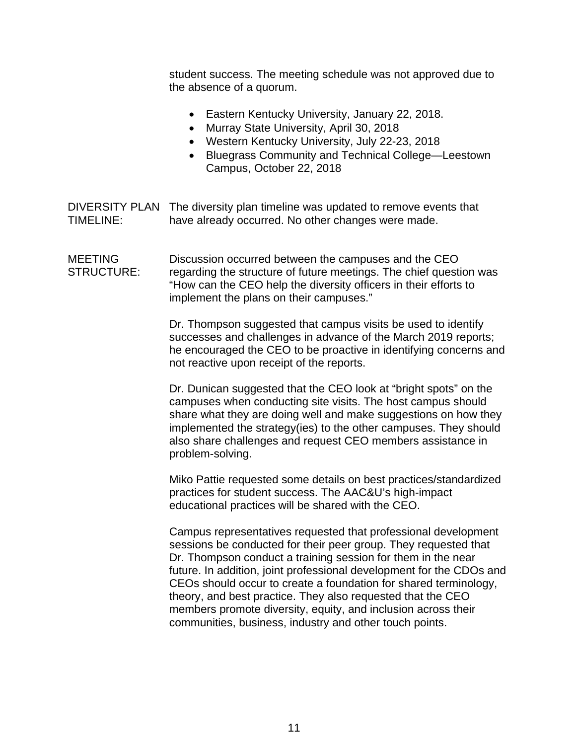student success. The meeting schedule was not approved due to the absence of a quorum.

- Eastern Kentucky University, January 22, 2018.
- Murray State University, April 30, 2018
- Western Kentucky University, July 22-23, 2018
- Bluegrass Community and Technical College—Leestown Campus, October 22, 2018

DIVERSITY PLAN The diversity plan timeline was updated to remove events that TIMELINE: have already occurred. No other changes were made.

MEETING Discussion occurred between the campuses and the CEO STRUCTURE: regarding the structure of future meetings. The chief question was "How can the CEO help the diversity officers in their efforts to implement the plans on their campuses."

> Dr. Thompson suggested that campus visits be used to identify successes and challenges in advance of the March 2019 reports; he encouraged the CEO to be proactive in identifying concerns and not reactive upon receipt of the reports.

> Dr. Dunican suggested that the CEO look at "bright spots" on the campuses when conducting site visits. The host campus should share what they are doing well and make suggestions on how they implemented the strategy(ies) to the other campuses. They should also share challenges and request CEO members assistance in problem-solving.

> Miko Pattie requested some details on best practices/standardized practices for student success. The AAC&U's high-impact educational practices will be shared with the CEO.

Campus representatives requested that professional development sessions be conducted for their peer group. They requested that Dr. Thompson conduct a training session for them in the near future. In addition, joint professional development for the CDOs and CEOs should occur to create a foundation for shared terminology, theory, and best practice. They also requested that the CEO members promote diversity, equity, and inclusion across their communities, business, industry and other touch points.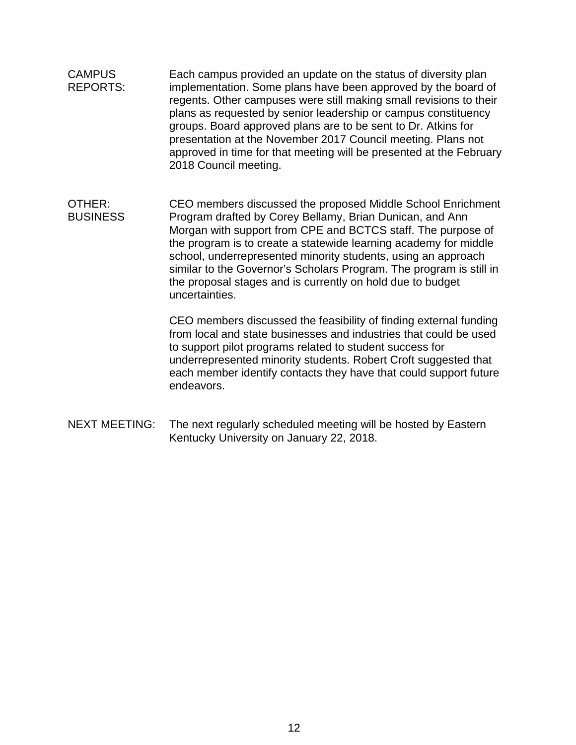- CAMPUS Each campus provided an update on the status of diversity plan REPORTS: implementation. Some plans have been approved by the board of regents. Other campuses were still making small revisions to their plans as requested by senior leadership or campus constituency groups. Board approved plans are to be sent to Dr. Atkins for presentation at the November 2017 Council meeting. Plans not approved in time for that meeting will be presented at the February 2018 Council meeting.
- OTHER: CEO members discussed the proposed Middle School Enrichment BUSINESS Program drafted by Corey Bellamy, Brian Dunican, and Ann Morgan with support from CPE and BCTCS staff. The purpose of the program is to create a statewide learning academy for middle school, underrepresented minority students, using an approach similar to the Governor's Scholars Program. The program is still in the proposal stages and is currently on hold due to budget uncertainties.

CEO members discussed the feasibility of finding external funding from local and state businesses and industries that could be used to support pilot programs related to student success for underrepresented minority students. Robert Croft suggested that each member identify contacts they have that could support future endeavors.

NEXT MEETING: The next regularly scheduled meeting will be hosted by Eastern Kentucky University on January 22, 2018.